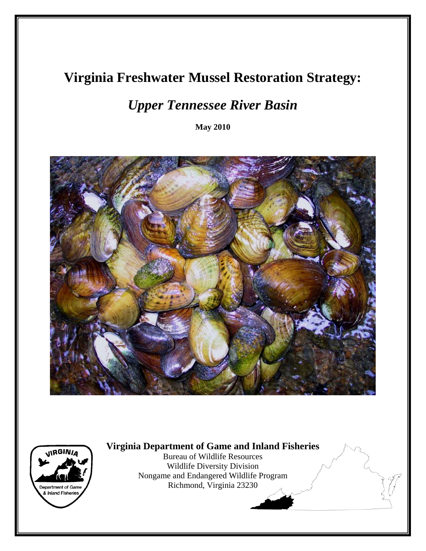# **Virginia Freshwater Mussel Restoration Strategy:**

# *Upper Tennessee River Basin*

**May 2010** 





**Virginia Department of Game and Inland Fisheries** 

Bureau of Wildlife Resources Wildlife Diversity Division Nongame and Endangered Wildlife Program Richmond, Virginia 23230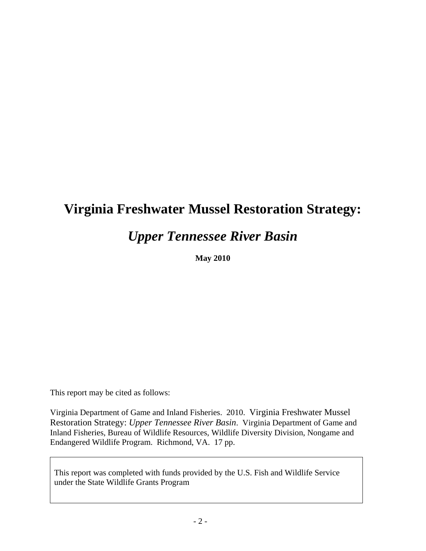# **Virginia Freshwater Mussel Restoration Strategy:**

# *Upper Tennessee River Basin*

**May 2010** 

This report may be cited as follows:

Virginia Department of Game and Inland Fisheries. 2010. Virginia Freshwater Mussel Restoration Strategy: *Upper Tennessee River Basin*. Virginia Department of Game and Inland Fisheries, Bureau of Wildlife Resources, Wildlife Diversity Division, Nongame and Endangered Wildlife Program. Richmond, VA. 17 pp.

This report was completed with funds provided by the U.S. Fish and Wildlife Service under the State Wildlife Grants Program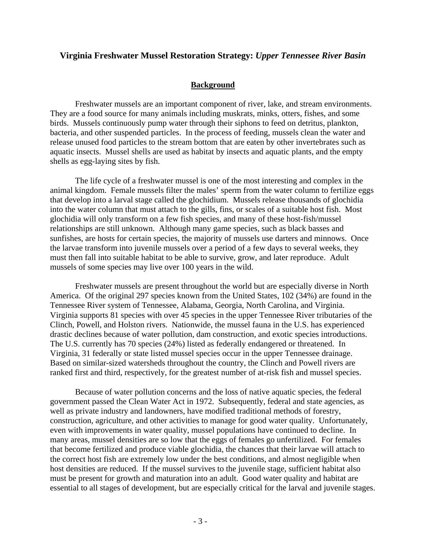#### **Virginia Freshwater Mussel Restoration Strategy:** *Upper Tennessee River Basin*

#### **Background**

Freshwater mussels are an important component of river, lake, and stream environments. They are a food source for many animals including muskrats, minks, otters, fishes, and some birds. Mussels continuously pump water through their siphons to feed on detritus, plankton, bacteria, and other suspended particles. In the process of feeding, mussels clean the water and release unused food particles to the stream bottom that are eaten by other invertebrates such as aquatic insects. Mussel shells are used as habitat by insects and aquatic plants, and the empty shells as egg-laying sites by fish.

The life cycle of a freshwater mussel is one of the most interesting and complex in the animal kingdom. Female mussels filter the males' sperm from the water column to fertilize eggs that develop into a larval stage called the glochidium. Mussels release thousands of glochidia into the water column that must attach to the gills, fins, or scales of a suitable host fish. Most glochidia will only transform on a few fish species, and many of these host-fish/mussel relationships are still unknown. Although many game species, such as black basses and sunfishes, are hosts for certain species, the majority of mussels use darters and minnows. Once the larvae transform into juvenile mussels over a period of a few days to several weeks, they must then fall into suitable habitat to be able to survive, grow, and later reproduce. Adult mussels of some species may live over 100 years in the wild.

Freshwater mussels are present throughout the world but are especially diverse in North America. Of the original 297 species known from the United States, 102 (34%) are found in the Tennessee River system of Tennessee, Alabama, Georgia, North Carolina, and Virginia. Virginia supports 81 species with over 45 species in the upper Tennessee River tributaries of the Clinch, Powell, and Holston rivers. Nationwide, the mussel fauna in the U.S. has experienced drastic declines because of water pollution, dam construction, and exotic species introductions. The U.S. currently has 70 species (24%) listed as federally endangered or threatened. In Virginia, 31 federally or state listed mussel species occur in the upper Tennessee drainage. Based on similar-sized watersheds throughout the country, the Clinch and Powell rivers are ranked first and third, respectively, for the greatest number of at-risk fish and mussel species.

Because of water pollution concerns and the loss of native aquatic species, the federal government passed the Clean Water Act in 1972. Subsequently, federal and state agencies, as well as private industry and landowners, have modified traditional methods of forestry, construction, agriculture, and other activities to manage for good water quality. Unfortunately, even with improvements in water quality, mussel populations have continued to decline. In many areas, mussel densities are so low that the eggs of females go unfertilized. For females that become fertilized and produce viable glochidia, the chances that their larvae will attach to the correct host fish are extremely low under the best conditions, and almost negligible when host densities are reduced. If the mussel survives to the juvenile stage, sufficient habitat also must be present for growth and maturation into an adult. Good water quality and habitat are essential to all stages of development, but are especially critical for the larval and juvenile stages.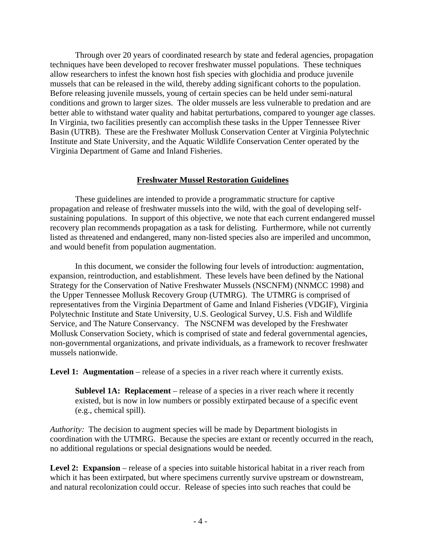Through over 20 years of coordinated research by state and federal agencies, propagation techniques have been developed to recover freshwater mussel populations. These techniques allow researchers to infest the known host fish species with glochidia and produce juvenile mussels that can be released in the wild, thereby adding significant cohorts to the population. Before releasing juvenile mussels, young of certain species can be held under semi-natural conditions and grown to larger sizes. The older mussels are less vulnerable to predation and are better able to withstand water quality and habitat perturbations, compared to younger age classes. In Virginia, two facilities presently can accomplish these tasks in the Upper Tennessee River Basin (UTRB). These are the Freshwater Mollusk Conservation Center at Virginia Polytechnic Institute and State University, and the Aquatic Wildlife Conservation Center operated by the Virginia Department of Game and Inland Fisheries.

#### **Freshwater Mussel Restoration Guidelines**

These guidelines are intended to provide a programmatic structure for captive propagation and release of freshwater mussels into the wild, with the goal of developing selfsustaining populations. In support of this objective, we note that each current endangered mussel recovery plan recommends propagation as a task for delisting. Furthermore, while not currently listed as threatened and endangered, many non-listed species also are imperiled and uncommon, and would benefit from population augmentation.

In this document, we consider the following four levels of introduction: augmentation, expansion, reintroduction, and establishment. These levels have been defined by the National Strategy for the Conservation of Native Freshwater Mussels (NSCNFM) (NNMCC 1998) and the Upper Tennessee Mollusk Recovery Group (UTMRG). The UTMRG is comprised of representatives from the Virginia Department of Game and Inland Fisheries (VDGIF), Virginia Polytechnic Institute and State University, U.S. Geological Survey, U.S. Fish and Wildlife Service, and The Nature Conservancy. The NSCNFM was developed by the Freshwater Mollusk Conservation Society, which is comprised of state and federal governmental agencies, non-governmental organizations, and private individuals, as a framework to recover freshwater mussels nationwide.

Level 1: Augmentation – release of a species in a river reach where it currently exists.

**Sublevel 1A: Replacement** – release of a species in a river reach where it recently existed, but is now in low numbers or possibly extirpated because of a specific event (e.g., chemical spill).

*Authority:* The decision to augment species will be made by Department biologists in coordination with the UTMRG. Because the species are extant or recently occurred in the reach, no additional regulations or special designations would be needed.

Level 2: Expansion – release of a species into suitable historical habitat in a river reach from which it has been extirpated, but where specimens currently survive upstream or downstream, and natural recolonization could occur. Release of species into such reaches that could be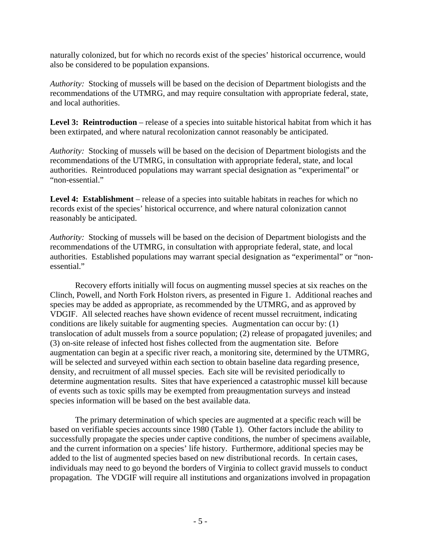naturally colonized, but for which no records exist of the species' historical occurrence, would also be considered to be population expansions.

*Authority:* Stocking of mussels will be based on the decision of Department biologists and the recommendations of the UTMRG, and may require consultation with appropriate federal, state, and local authorities.

Level 3: Reintroduction – release of a species into suitable historical habitat from which it has been extirpated, and where natural recolonization cannot reasonably be anticipated.

*Authority:* Stocking of mussels will be based on the decision of Department biologists and the recommendations of the UTMRG, in consultation with appropriate federal, state, and local authorities. Reintroduced populations may warrant special designation as "experimental" or "non-essential."

Level 4: Establishment – release of a species into suitable habitats in reaches for which no records exist of the species' historical occurrence, and where natural colonization cannot reasonably be anticipated.

*Authority:* Stocking of mussels will be based on the decision of Department biologists and the recommendations of the UTMRG, in consultation with appropriate federal, state, and local authorities. Established populations may warrant special designation as "experimental" or "nonessential."

Recovery efforts initially will focus on augmenting mussel species at six reaches on the Clinch, Powell, and North Fork Holston rivers, as presented in Figure 1. Additional reaches and species may be added as appropriate, as recommended by the UTMRG, and as approved by VDGIF. All selected reaches have shown evidence of recent mussel recruitment, indicating conditions are likely suitable for augmenting species. Augmentation can occur by: (1) translocation of adult mussels from a source population; (2) release of propagated juveniles; and (3) on-site release of infected host fishes collected from the augmentation site. Before augmentation can begin at a specific river reach, a monitoring site, determined by the UTMRG, will be selected and surveyed within each section to obtain baseline data regarding presence, density, and recruitment of all mussel species. Each site will be revisited periodically to determine augmentation results. Sites that have experienced a catastrophic mussel kill because of events such as toxic spills may be exempted from preaugmentation surveys and instead species information will be based on the best available data.

 The primary determination of which species are augmented at a specific reach will be based on verifiable species accounts since 1980 (Table 1). Other factors include the ability to successfully propagate the species under captive conditions, the number of specimens available, and the current information on a species' life history. Furthermore, additional species may be added to the list of augmented species based on new distributional records. In certain cases, individuals may need to go beyond the borders of Virginia to collect gravid mussels to conduct propagation. The VDGIF will require all institutions and organizations involved in propagation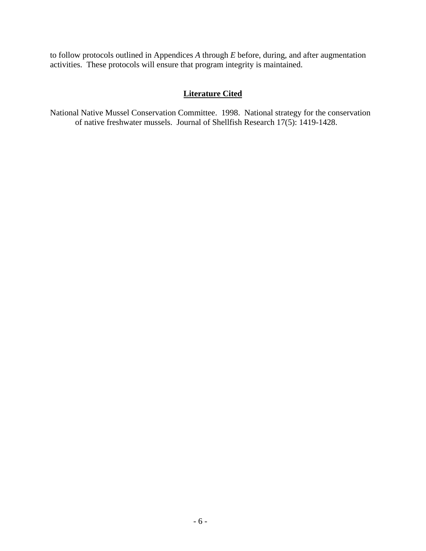to follow protocols outlined in Appendices *A* through *E* before, during, and after augmentation activities. These protocols will ensure that program integrity is maintained.

## **Literature Cited**

National Native Mussel Conservation Committee. 1998. National strategy for the conservation of native freshwater mussels. Journal of Shellfish Research 17(5): 1419-1428.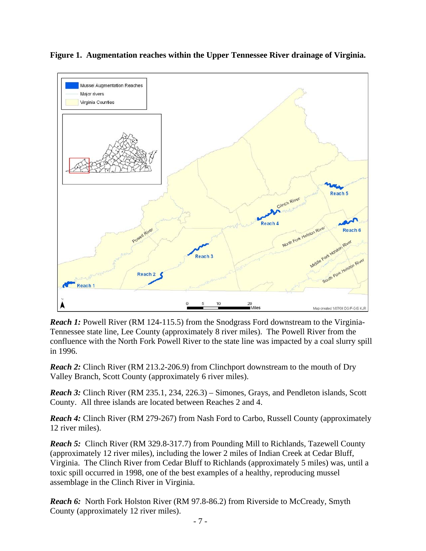

**Figure 1. Augmentation reaches within the Upper Tennessee River drainage of Virginia.**

*Reach 1:* Powell River (RM 124-115.5) from the Snodgrass Ford downstream to the Virginia-Tennessee state line, Lee County (approximately 8 river miles). The Powell River from the confluence with the North Fork Powell River to the state line was impacted by a coal slurry spill in 1996.

*Reach 2:* Clinch River (RM 213.2-206.9) from Clinchport downstream to the mouth of Dry Valley Branch, Scott County (approximately 6 river miles).

*Reach 3:* Clinch River (RM 235.1, 234, 226.3) – Simones, Grays, and Pendleton islands, Scott County. All three islands are located between Reaches 2 and 4.

*Reach 4:* Clinch River (RM 279-267) from Nash Ford to Carbo, Russell County (approximately 12 river miles).

**Reach 5:** Clinch River (RM 329.8-317.7) from Pounding Mill to Richlands, Tazewell County (approximately 12 river miles), including the lower 2 miles of Indian Creek at Cedar Bluff, Virginia. The Clinch River from Cedar Bluff to Richlands (approximately 5 miles) was, until a toxic spill occurred in 1998, one of the best examples of a healthy, reproducing mussel assemblage in the Clinch River in Virginia.

**Reach 6:** North Fork Holston River (RM 97.8-86.2) from Riverside to McCready, Smyth County (approximately 12 river miles).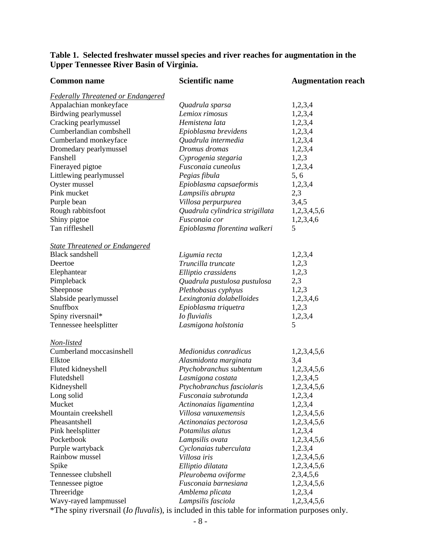## **Table 1. Selected freshwater mussel species and river reaches for augmentation in the Upper Tennessee River Basin of Virginia.**

| <b>Common name</b>                        | <b>Scientific name</b>          | <b>Augmentation reach</b> |
|-------------------------------------------|---------------------------------|---------------------------|
| <b>Federally Threatened or Endangered</b> |                                 |                           |
| Appalachian monkeyface                    | Quadrula sparsa                 | 1,2,3,4                   |
| Birdwing pearlymussel                     | Lemiox rimosus                  | 1,2,3,4                   |
| Cracking pearlymussel                     | Hemistena lata                  | 1,2,3,4                   |
| Cumberlandian combshell                   | Epioblasma brevidens            | 1,2,3,4                   |
| Cumberland monkeyface                     | Quadrula intermedia             | 1,2,3,4                   |
| Dromedary pearlymussel                    | Dromus dromas                   | 1,2,3,4                   |
| Fanshell                                  | Cyprogenia stegaria             | 1,2,3                     |
| Finerayed pigtoe                          | Fusconaia cuneolus              | 1,2,3,4                   |
| Littlewing pearlymussel                   | Pegias fibula                   | 5, 6                      |
| Oyster mussel                             | Epioblasma capsaeformis         | 1,2,3,4                   |
| Pink mucket                               | Lampsilis abrupta               | 2,3                       |
| Purple bean                               | Villosa perpurpurea             | 3,4,5                     |
| Rough rabbitsfoot                         | Quadrula cylindrica strigillata | 1,2,3,4,5,6               |
| Shiny pigtoe                              | Fusconaia cor                   | 1,2,3,4,6                 |
| Tan riffleshell                           | Epioblasma florentina walkeri   | 5                         |
| <b>State Threatened or Endangered</b>     |                                 |                           |
| <b>Black sandshell</b>                    | Ligumia recta                   | 1,2,3,4                   |
| Deertoe                                   | Truncilla truncate              | 1,2,3                     |
| Elephantear                               | Elliptio crassidens             | 1,2,3                     |
| Pimpleback                                | Quadrula pustulosa pustulosa    | 2,3                       |
| Sheepnose                                 | Plethobasus cyphyus             | 1,2,3                     |
| Slabside pearlymussel                     | Lexingtonia dolabelloides       | 1,2,3,4,6                 |
| Snuffbox                                  | Epioblasma triquetra            | 1,2,3                     |
| Spiny riversnail*                         | <i>Io fluvialis</i>             | 1,2,3,4                   |
| Tennessee heelsplitter                    | Lasmigona holstonia             | 5                         |
| <u>Non-listed</u>                         |                                 |                           |
| Cumberland moccasinshell                  | Medionidus conradicus           | 1,2,3,4,5,6               |
| Elktoe                                    | Alasmidonta marginata           | 3,4                       |
| Fluted kidneyshell                        | Ptychobranchus subtentum        | 1,2,3,4,5,6               |
| Flutedshell                               | Lasmigona costata               | 1,2,3,4,5                 |
| Kidneyshell                               | Ptychobranchus fasciolaris      | 1,2,3,4,5,6               |
| Long solid                                | Fusconaia subrotunda            | 1,2,3,4                   |
| Mucket                                    | Actinonaias ligamentina         | 1,2,3,4                   |
| Mountain creekshell                       | Villosa vanuxemensis            | 1,2,3,4,5,6               |
| Pheasantshell                             | Actinonaias pectorosa           | 1,2,3,4,5,6               |
| Pink heelsplitter                         | Potamilus alatus                | 1,2,3,4                   |
| Pocketbook                                | Lampsilis ovata                 | 1,2,3,4,5,6               |
| Purple wartyback                          | Cyclonaias tuberculata          | 1,2.3,4                   |
| Rainbow mussel                            | Villosa iris                    | 1,2,3,4,5,6               |
| Spike                                     | Elliptio dilatata               | 1,2,3,4,5,6               |
| Tennessee clubshell                       | Pleurobema oviforme             | 2,3,4,5,6                 |
| Tennessee pigtoe                          | Fusconaia barnesiana            | 1,2,3,4,5,6               |
| Threeridge                                | Amblema plicata                 | 1,2,3,4                   |
| Wavy-rayed lampmussel                     | Lampsilis fasciola              | 1,2,3,4,5,6               |

\*The spiny riversnail (*Io fluvalis*), is included in this table for information purposes only.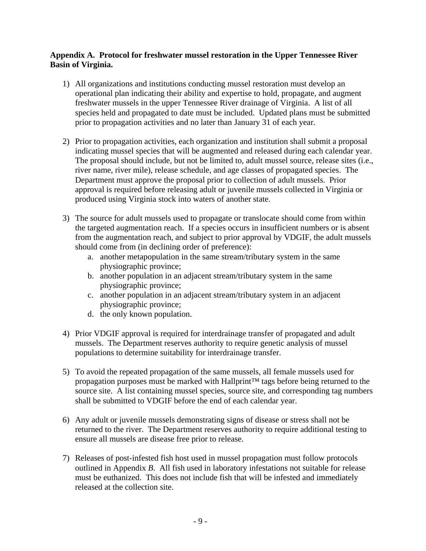#### **Appendix A. Protocol for freshwater mussel restoration in the Upper Tennessee River Basin of Virginia.**

- 1) All organizations and institutions conducting mussel restoration must develop an operational plan indicating their ability and expertise to hold, propagate, and augment freshwater mussels in the upper Tennessee River drainage of Virginia. A list of all species held and propagated to date must be included. Updated plans must be submitted prior to propagation activities and no later than January 31 of each year.
- 2) Prior to propagation activities, each organization and institution shall submit a proposal indicating mussel species that will be augmented and released during each calendar year. The proposal should include, but not be limited to, adult mussel source, release sites (i.e., river name, river mile), release schedule, and age classes of propagated species. The Department must approve the proposal prior to collection of adult mussels. Prior approval is required before releasing adult or juvenile mussels collected in Virginia or produced using Virginia stock into waters of another state.
- 3) The source for adult mussels used to propagate or translocate should come from within the targeted augmentation reach. If a species occurs in insufficient numbers or is absent from the augmentation reach, and subject to prior approval by VDGIF, the adult mussels should come from (in declining order of preference):
	- a. another metapopulation in the same stream/tributary system in the same physiographic province;
	- b. another population in an adjacent stream/tributary system in the same physiographic province;
	- c. another population in an adjacent stream/tributary system in an adjacent physiographic province;
	- d. the only known population.
- 4) Prior VDGIF approval is required for interdrainage transfer of propagated and adult mussels. The Department reserves authority to require genetic analysis of mussel populations to determine suitability for interdrainage transfer.
- 5) To avoid the repeated propagation of the same mussels, all female mussels used for propagation purposes must be marked with Hallprint™ tags before being returned to the source site. A list containing mussel species, source site, and corresponding tag numbers shall be submitted to VDGIF before the end of each calendar year.
- 6) Any adult or juvenile mussels demonstrating signs of disease or stress shall not be returned to the river. The Department reserves authority to require additional testing to ensure all mussels are disease free prior to release.
- 7) Releases of post-infested fish host used in mussel propagation must follow protocols outlined in Appendix *B*. All fish used in laboratory infestations not suitable for release must be euthanized. This does not include fish that will be infested and immediately released at the collection site.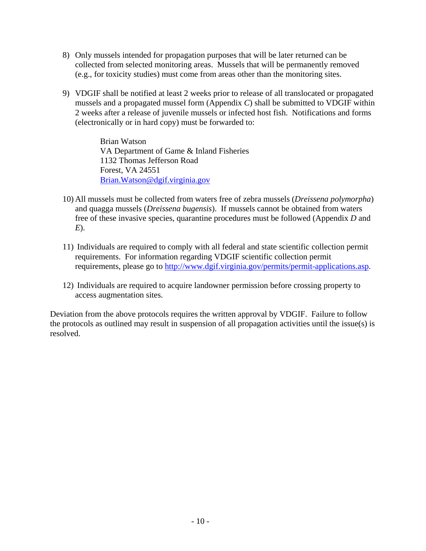- 8) Only mussels intended for propagation purposes that will be later returned can be collected from selected monitoring areas. Mussels that will be permanently removed (e.g., for toxicity studies) must come from areas other than the monitoring sites.
- 9) VDGIF shall be notified at least 2 weeks prior to release of all translocated or propagated mussels and a propagated mussel form (Appendix *C*) shall be submitted to VDGIF within 2 weeks after a release of juvenile mussels or infected host fish. Notifications and forms (electronically or in hard copy) must be forwarded to:

Brian Watson VA Department of Game & Inland Fisheries 1132 Thomas Jefferson Road Forest, VA 24551 [Brian.Watson@dgif.virginia.gov](mailto:Brian.Watson@dgif.virginia.gov)

- 10) All mussels must be collected from waters free of zebra mussels (*Dreissena polymorpha*) and quagga mussels (*Dreissena bugensis*). If mussels cannot be obtained from waters free of these invasive species, quarantine procedures must be followed (Appendix *D* and *E*).
- 11) Individuals are required to comply with all federal and state scientific collection permit requirements. For information regarding VDGIF scientific collection permit requirements, please go to<http://www.dgif.virginia.gov/permits/permit-applications.asp>.
- 12) Individuals are required to acquire landowner permission before crossing property to access augmentation sites.

Deviation from the above protocols requires the written approval by VDGIF. Failure to follow the protocols as outlined may result in suspension of all propagation activities until the issue(s) is resolved.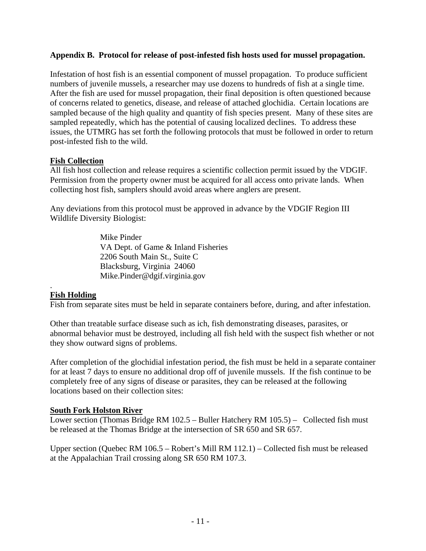#### **Appendix B. Protocol for release of post-infested fish hosts used for mussel propagation.**

Infestation of host fish is an essential component of mussel propagation. To produce sufficient numbers of juvenile mussels, a researcher may use dozens to hundreds of fish at a single time. After the fish are used for mussel propagation, their final deposition is often questioned because of concerns related to genetics, disease, and release of attached glochidia. Certain locations are sampled because of the high quality and quantity of fish species present. Many of these sites are sampled repeatedly, which has the potential of causing localized declines. To address these issues, the UTMRG has set forth the following protocols that must be followed in order to return post-infested fish to the wild.

#### **Fish Collection**

All fish host collection and release requires a scientific collection permit issued by the VDGIF. Permission from the property owner must be acquired for all access onto private lands. When collecting host fish, samplers should avoid areas where anglers are present.

Any deviations from this protocol must be approved in advance by the VDGIF Region III Wildlife Diversity Biologist:

> Mike Pinder VA Dept. of Game & Inland Fisheries 2206 South Main St., Suite C Blacksburg, Virginia 24060 Mike.Pinder@dgif.virginia.gov

#### **Fish Holding**

.

Fish from separate sites must be held in separate containers before, during, and after infestation.

Other than treatable surface disease such as ich, fish demonstrating diseases, parasites, or abnormal behavior must be destroyed, including all fish held with the suspect fish whether or not they show outward signs of problems.

After completion of the glochidial infestation period, the fish must be held in a separate container for at least 7 days to ensure no additional drop off of juvenile mussels. If the fish continue to be completely free of any signs of disease or parasites, they can be released at the following locations based on their collection sites:

#### **South Fork Holston River**

Lower section (Thomas Bridge RM 102.5 – Buller Hatchery RM 105.5) – Collected fish must be released at the Thomas Bridge at the intersection of SR 650 and SR 657.

Upper section (Quebec RM 106.5 – Robert's Mill RM 112.1) – Collected fish must be released at the Appalachian Trail crossing along SR 650 RM 107.3.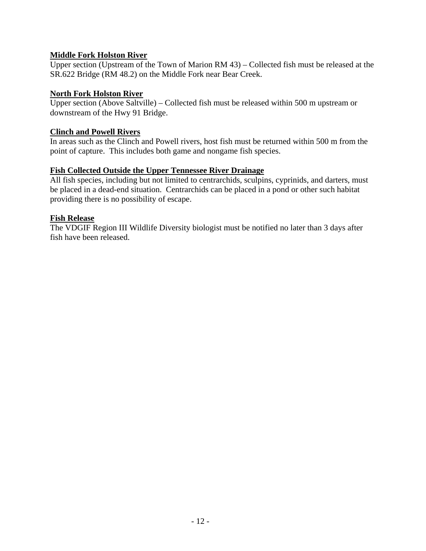### **Middle Fork Holston River**

Upper section (Upstream of the Town of Marion RM 43) – Collected fish must be released at the SR.622 Bridge (RM 48.2) on the Middle Fork near Bear Creek.

### **North Fork Holston River**

Upper section (Above Saltville) – Collected fish must be released within 500 m upstream or downstream of the Hwy 91 Bridge.

### **Clinch and Powell Rivers**

In areas such as the Clinch and Powell rivers, host fish must be returned within 500 m from the point of capture. This includes both game and nongame fish species.

## **Fish Collected Outside the Upper Tennessee River Drainage**

All fish species, including but not limited to centrarchids, sculpins, cyprinids, and darters, must be placed in a dead-end situation. Centrarchids can be placed in a pond or other such habitat providing there is no possibility of escape.

### **Fish Release**

The VDGIF Region III Wildlife Diversity biologist must be notified no later than 3 days after fish have been released.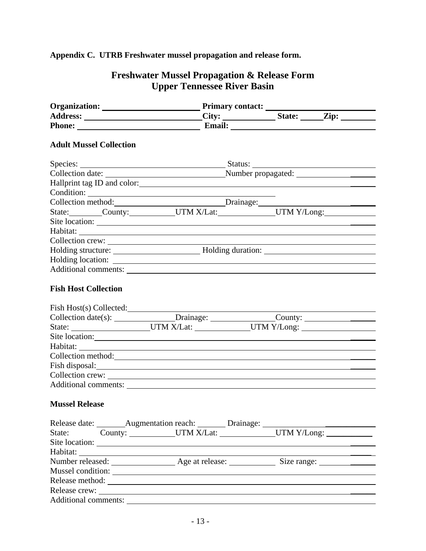# **Appendix C. UTRB Freshwater mussel propagation and release form.**

# **Freshwater Mussel Propagation & Release Form Upper Tennessee River Basin**

|                                |                                                                                   | Phone: <u>Email:</u> Email:           |
|--------------------------------|-----------------------------------------------------------------------------------|---------------------------------------|
| <b>Adult Mussel Collection</b> |                                                                                   |                                       |
|                                |                                                                                   |                                       |
|                                | Species: Status:                                                                  |                                       |
|                                |                                                                                   |                                       |
|                                |                                                                                   |                                       |
|                                | Condition:                                                                        |                                       |
|                                |                                                                                   |                                       |
|                                |                                                                                   | State: County: UTM X/Lat: UTM Y/Long: |
|                                |                                                                                   |                                       |
|                                |                                                                                   |                                       |
|                                |                                                                                   |                                       |
|                                |                                                                                   |                                       |
|                                |                                                                                   |                                       |
|                                |                                                                                   |                                       |
| <b>Fish Host Collection</b>    |                                                                                   |                                       |
|                                |                                                                                   |                                       |
|                                | Fish Host(s) Collected:                                                           |                                       |
|                                |                                                                                   |                                       |
|                                | State: ______________________UTM X/Lat: _______________UTM Y/Long: ______________ |                                       |
|                                | Site location:                                                                    |                                       |
|                                |                                                                                   |                                       |
|                                | Collection method: <u>collection</u> and collection method:                       |                                       |
|                                |                                                                                   |                                       |
|                                |                                                                                   |                                       |
|                                |                                                                                   |                                       |
|                                |                                                                                   |                                       |
| <b>Mussel Release</b>          |                                                                                   |                                       |
|                                | Release date: ________ Augmentation reach: ________ Drainage: __________________  |                                       |
|                                | State: County: UTM X/Lat: UTM Y/Long:                                             |                                       |
|                                |                                                                                   |                                       |
|                                |                                                                                   |                                       |
|                                | Number released: <u>Age at release: Size range: Size range:</u>                   |                                       |
|                                |                                                                                   |                                       |
|                                | Release method:                                                                   |                                       |
|                                |                                                                                   |                                       |
|                                |                                                                                   |                                       |
|                                |                                                                                   |                                       |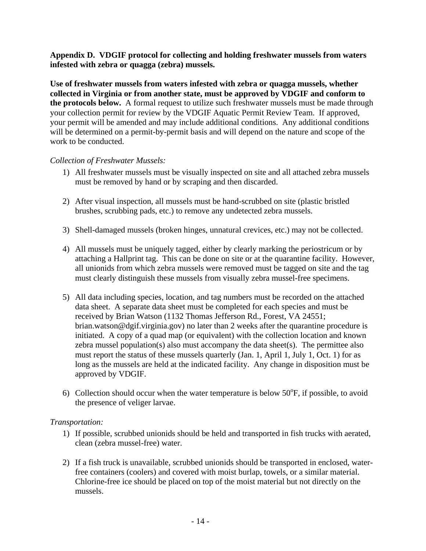#### **Appendix D. VDGIF protocol for collecting and holding freshwater mussels from waters infested with zebra or quagga (zebra) mussels.**

**Use of freshwater mussels from waters infested with zebra or quagga mussels, whether collected in Virginia or from another state, must be approved by VDGIF and conform to the protocols below.** A formal request to utilize such freshwater mussels must be made through your collection permit for review by the VDGIF Aquatic Permit Review Team. If approved, your permit will be amended and may include additional conditions. Any additional conditions will be determined on a permit-by-permit basis and will depend on the nature and scope of the work to be conducted.

### *Collection of Freshwater Mussels:*

- 1) All freshwater mussels must be visually inspected on site and all attached zebra mussels must be removed by hand or by scraping and then discarded.
- 2) After visual inspection, all mussels must be hand-scrubbed on site (plastic bristled brushes, scrubbing pads, etc.) to remove any undetected zebra mussels.
- 3) Shell-damaged mussels (broken hinges, unnatural crevices, etc.) may not be collected.
- 4) All mussels must be uniquely tagged, either by clearly marking the periostricum or by attaching a Hallprint tag. This can be done on site or at the quarantine facility. However, all unionids from which zebra mussels were removed must be tagged on site and the tag must clearly distinguish these mussels from visually zebra mussel-free specimens.
- 5) All data including species, location, and tag numbers must be recorded on the attached data sheet. A separate data sheet must be completed for each species and must be received by Brian Watson (1132 Thomas Jefferson Rd., Forest, VA 24551; brian.watson@dgif.virginia.gov) no later than 2 weeks after the quarantine procedure is initiated. A copy of a quad map (or equivalent) with the collection location and known zebra mussel population(s) also must accompany the data sheet(s). The permittee also must report the status of these mussels quarterly (Jan. 1, April 1, July 1, Oct. 1) for as long as the mussels are held at the indicated facility. Any change in disposition must be approved by VDGIF.
- 6) Collection should occur when the water temperature is below  $50^{\circ}$ F, if possible, to avoid the presence of veliger larvae.

### *Transportation:*

- 1) If possible, scrubbed unionids should be held and transported in fish trucks with aerated, clean (zebra mussel-free) water.
- 2) If a fish truck is unavailable, scrubbed unionids should be transported in enclosed, waterfree containers (coolers) and covered with moist burlap, towels, or a similar material. Chlorine-free ice should be placed on top of the moist material but not directly on the mussels.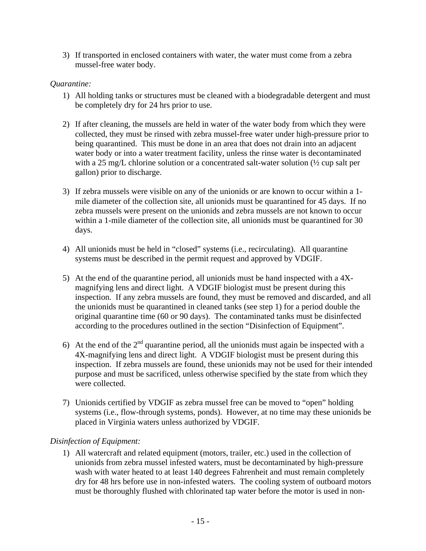3) If transported in enclosed containers with water, the water must come from a zebra mussel-free water body.

### *Quarantine:*

- 1) All holding tanks or structures must be cleaned with a biodegradable detergent and must be completely dry for 24 hrs prior to use.
- 2) If after cleaning, the mussels are held in water of the water body from which they were collected, they must be rinsed with zebra mussel-free water under high-pressure prior to being quarantined. This must be done in an area that does not drain into an adjacent water body or into a water treatment facility, unless the rinse water is decontaminated with a 25 mg/L chlorine solution or a concentrated salt-water solution ( $\frac{1}{2}$  cup salt per gallon) prior to discharge.
- 3) If zebra mussels were visible on any of the unionids or are known to occur within a 1 mile diameter of the collection site, all unionids must be quarantined for 45 days. If no zebra mussels were present on the unionids and zebra mussels are not known to occur within a 1-mile diameter of the collection site, all unionids must be quarantined for 30 days.
- 4) All unionids must be held in "closed" systems (i.e., recirculating). All quarantine systems must be described in the permit request and approved by VDGIF.
- 5) At the end of the quarantine period, all unionids must be hand inspected with a 4Xmagnifying lens and direct light. A VDGIF biologist must be present during this inspection. If any zebra mussels are found, they must be removed and discarded, and all the unionids must be quarantined in cleaned tanks (see step 1) for a period double the original quarantine time (60 or 90 days). The contaminated tanks must be disinfected according to the procedures outlined in the section "Disinfection of Equipment".
- 6) At the end of the  $2<sup>nd</sup>$  quarantine period, all the unionids must again be inspected with a 4X-magnifying lens and direct light. A VDGIF biologist must be present during this inspection. If zebra mussels are found, these unionids may not be used for their intended purpose and must be sacrificed, unless otherwise specified by the state from which they were collected.
- 7) Unionids certified by VDGIF as zebra mussel free can be moved to "open" holding systems (i.e., flow-through systems, ponds). However, at no time may these unionids be placed in Virginia waters unless authorized by VDGIF.

### *Disinfection of Equipment:*

1) All watercraft and related equipment (motors, trailer, etc.) used in the collection of unionids from zebra mussel infested waters, must be decontaminated by high-pressure wash with water heated to at least 140 degrees Fahrenheit and must remain completely dry for 48 hrs before use in non-infested waters. The cooling system of outboard motors must be thoroughly flushed with chlorinated tap water before the motor is used in non-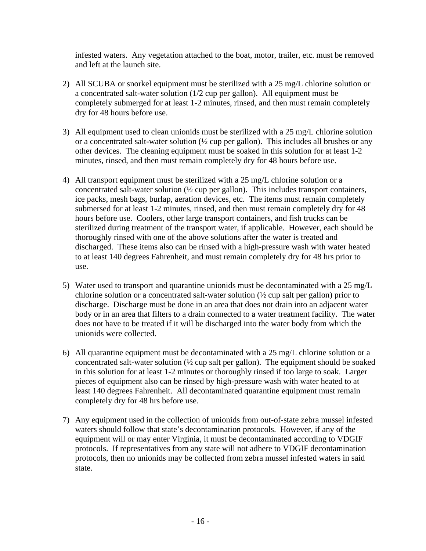infested waters. Any vegetation attached to the boat, motor, trailer, etc. must be removed and left at the launch site.

- 2) All SCUBA or snorkel equipment must be sterilized with a 25 mg/L chlorine solution or a concentrated salt-water solution (1/2 cup per gallon). All equipment must be completely submerged for at least 1-2 minutes, rinsed, and then must remain completely dry for 48 hours before use.
- 3) All equipment used to clean unionids must be sterilized with a 25 mg/L chlorine solution or a concentrated salt-water solution  $(\frac{1}{2})$  cup per gallon). This includes all brushes or any other devices. The cleaning equipment must be soaked in this solution for at least 1-2 minutes, rinsed, and then must remain completely dry for 48 hours before use.
- 4) All transport equipment must be sterilized with a 25 mg/L chlorine solution or a concentrated salt-water solution (½ cup per gallon). This includes transport containers, ice packs, mesh bags, burlap, aeration devices, etc. The items must remain completely submersed for at least 1-2 minutes, rinsed, and then must remain completely dry for 48 hours before use. Coolers, other large transport containers, and fish trucks can be sterilized during treatment of the transport water, if applicable. However, each should be thoroughly rinsed with one of the above solutions after the water is treated and discharged. These items also can be rinsed with a high-pressure wash with water heated to at least 140 degrees Fahrenheit, and must remain completely dry for 48 hrs prior to use.
- 5) Water used to transport and quarantine unionids must be decontaminated with a 25 mg/L chlorine solution or a concentrated salt-water solution (½ cup salt per gallon) prior to discharge. Discharge must be done in an area that does not drain into an adjacent water body or in an area that filters to a drain connected to a water treatment facility. The water does not have to be treated if it will be discharged into the water body from which the unionids were collected.
- 6) All quarantine equipment must be decontaminated with a 25 mg/L chlorine solution or a concentrated salt-water solution (½ cup salt per gallon). The equipment should be soaked in this solution for at least 1-2 minutes or thoroughly rinsed if too large to soak. Larger pieces of equipment also can be rinsed by high-pressure wash with water heated to at least 140 degrees Fahrenheit. All decontaminated quarantine equipment must remain completely dry for 48 hrs before use.
- 7) Any equipment used in the collection of unionids from out-of-state zebra mussel infested waters should follow that state's decontamination protocols. However, if any of the equipment will or may enter Virginia, it must be decontaminated according to VDGIF protocols. If representatives from any state will not adhere to VDGIF decontamination protocols, then no unionids may be collected from zebra mussel infested waters in said state.